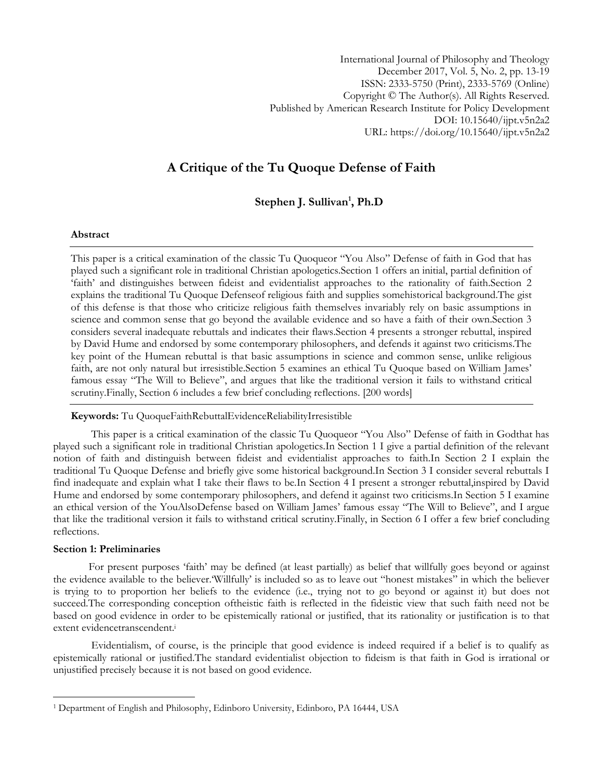International Journal of Philosophy and Theology December 2017, Vol. 5, No. 2, pp. 13-19 ISSN: 2333-5750 (Print), 2333-5769 (Online) Copyright © The Author(s). All Rights Reserved. Published by American Research Institute for Policy Development DOI: 10.15640/ijpt.v5n2a2 URL: https://doi.org/10.15640/ijpt.v5n2a2

# **A Critique of the Tu Quoque Defense of Faith**

## **Stephen J. Sullivan<sup>1</sup> , Ph.D**

## **Abstract**

This paper is a critical examination of the classic Tu Quoqueor "You Also" Defense of faith in God that has played such a significant role in traditional Christian apologetics.Section 1 offers an initial, partial definition of ‗faith' and distinguishes between fideist and evidentialist approaches to the rationality of faith.Section 2 explains the traditional Tu Quoque Defenseof religious faith and supplies somehistorical background.The gist of this defense is that those who criticize religious faith themselves invariably rely on basic assumptions in science and common sense that go beyond the available evidence and so have a faith of their own.Section 3 considers several inadequate rebuttals and indicates their flaws.Section 4 presents a stronger rebuttal, inspired by David Hume and endorsed by some contemporary philosophers, and defends it against two criticisms.The key point of the Humean rebuttal is that basic assumptions in science and common sense, unlike religious faith, are not only natural but irresistible.Section 5 examines an ethical Tu Quoque based on William James' famous essay "The Will to Believe", and argues that like the traditional version it fails to withstand critical scrutiny.Finally, Section 6 includes a few brief concluding reflections. [200 words]

**Keywords:** Tu QuoqueFaithRebuttalEvidenceReliabilityIrresistible

This paper is a critical examination of the classic Tu Quoqueor "You Also" Defense of faith in Godthat has played such a significant role in traditional Christian apologetics.In Section 1 I give a partial definition of the relevant notion of faith and distinguish between fideist and evidentialist approaches to faith.In Section 2 I explain the traditional Tu Quoque Defense and briefly give some historical background.In Section 3 I consider several rebuttals I find inadequate and explain what I take their flaws to be.In Section 4 I present a stronger rebuttal,inspired by David Hume and endorsed by some contemporary philosophers, and defend it against two criticisms.In Section 5 I examine an ethical version of the YouAlsoDefense based on William James' famous essay "The Will to Believe", and I argue that like the traditional version it fails to withstand critical scrutiny.Finally, in Section 6 I offer a few brief concluding reflections.

## **Section 1: Preliminaries**

l

For present purposes 'faith' may be defined (at least partially) as belief that willfully goes beyond or against the evidence available to the believer. Willfully' is included so as to leave out "honest mistakes" in which the believer is trying to to proportion her beliefs to the evidence (i.e., trying not to go beyond or against it) but does not succeed.The corresponding conception oftheistic faith is reflected in the fideistic view that such faith need not be based on good evidence in order to be epistemically rational or justified, that its rationality or justification is to that extent evidencetranscendent.<sup>i</sup>

Evidentialism, of course, is the principle that good evidence is indeed required if a belief is to qualify as epistemically rational or justified.The standard evidentialist objection to fideism is that faith in God is irrational or unjustified precisely because it is not based on good evidence.

<sup>1</sup> Department of English and Philosophy, Edinboro University, Edinboro, PA 16444, USA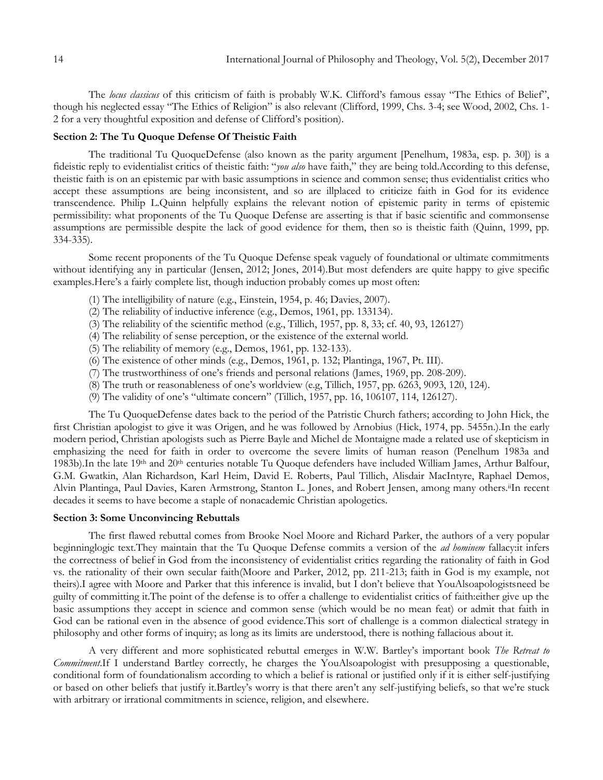The locus classicus of this criticism of faith is probably W.K. Clifford's famous essay "The Ethics of Belief", though his neglected essay "The Ethics of Religion" is also relevant (Clifford, 1999, Chs. 3-4; see Wood, 2002, Chs. 1-2 for a very thoughtful exposition and defense of Clifford's position).

## **Section 2: The Tu Quoque Defense Of Theistic Faith**

The traditional Tu QuoqueDefense (also known as the parity argument [Penelhum, 1983a, esp. p. 30]) is a fideistic reply to evidentialist critics of theistic faith: "*you also* have faith," they are being told.According to this defense, theistic faith is on an epistemic par with basic assumptions in science and common sense; thus evidentialist critics who accept these assumptions are being inconsistent, and so are illplaced to criticize faith in God for its evidence transcendence. Philip L.Quinn helpfully explains the relevant notion of epistemic parity in terms of epistemic permissibility: what proponents of the Tu Quoque Defense are asserting is that if basic scientific and commonsense assumptions are permissible despite the lack of good evidence for them, then so is theistic faith (Quinn, 1999, pp. 334-335).

Some recent proponents of the Tu Quoque Defense speak vaguely of foundational or ultimate commitments without identifying any in particular (Jensen, 2012; Jones, 2014).But most defenders are quite happy to give specific examples.Here's a fairly complete list, though induction probably comes up most often:

- (1) The intelligibility of nature (e.g., Einstein, 1954, p. 46; Davies, 2007).
- (2) The reliability of inductive inference (e.g., Demos, 1961, pp. 133134).
- (3) The reliability of the scientific method (e.g., Tillich, 1957, pp. 8, 33; cf. 40, 93, 126127)
- (4) The reliability of sense perception, or the existence of the external world.
- (5) The reliability of memory (e.g., Demos, 1961, pp. 132-133).
- (6) The existence of other minds (e.g., Demos, 1961, p. 132; Plantinga, 1967, Pt. III).
- (7) The trustworthiness of one's friends and personal relations (James, 1969, pp. 208-209).
- (8) The truth or reasonableness of one's worldview (e.g, Tillich, 1957, pp. 6263, 9093, 120, 124).
- (9) The validity of one's "ultimate concern" (Tillich, 1957, pp. 16, 106107, 114, 126127).

The Tu QuoqueDefense dates back to the period of the Patristic Church fathers; according to John Hick, the first Christian apologist to give it was Origen, and he was followed by Arnobius (Hick, 1974, pp. 5455n.).In the early modern period, Christian apologists such as Pierre Bayle and Michel de Montaigne made a related use of skepticism in emphasizing the need for faith in order to overcome the severe limits of human reason (Penelhum 1983a and 1983b).In the late 19<sup>th</sup> and 20<sup>th</sup> centuries notable Tu Quoque defenders have included William James, Arthur Balfour, G.M. Gwatkin, Alan Richardson, Karl Heim, David E. Roberts, Paul Tillich, Alisdair MacIntyre, Raphael Demos, Alvin Plantinga, Paul Davies, Karen Armstrong, Stanton L. Jones, and Robert Jensen, among many others.<sup>ii</sup>In recent decades it seems to have become a staple of nonacademic Christian apologetics.

#### **Section 3: Some Unconvincing Rebuttals**

The first flawed rebuttal comes from Brooke Noel Moore and Richard Parker, the authors of a very popular beginninglogic text.They maintain that the Tu Quoque Defense commits a version of the *ad hominem* fallacy:it infers the correctness of belief in God from the inconsistency of evidentialist critics regarding the rationality of faith in God vs. the rationality of their own secular faith(Moore and Parker, 2012, pp. 211-213; faith in God is my example, not theirs).I agree with Moore and Parker that this inference is invalid, but I don't believe that YouAlsoapologistsneed be guilty of committing it.The point of the defense is to offer a challenge to evidentialist critics of faith:either give up the basic assumptions they accept in science and common sense (which would be no mean feat) or admit that faith in God can be rational even in the absence of good evidence.This sort of challenge is a common dialectical strategy in philosophy and other forms of inquiry; as long as its limits are understood, there is nothing fallacious about it.

A very different and more sophisticated rebuttal emerges in W.W. Bartley's important book *The Retreat to Commitment*.If I understand Bartley correctly, he charges the YouAlsoapologist with presupposing a questionable, conditional form of foundationalism according to which a belief is rational or justified only if it is either self-justifying or based on other beliefs that justify it.Bartley's worry is that there aren't any self-justifying beliefs, so that we're stuck with arbitrary or irrational commitments in science, religion, and elsewhere.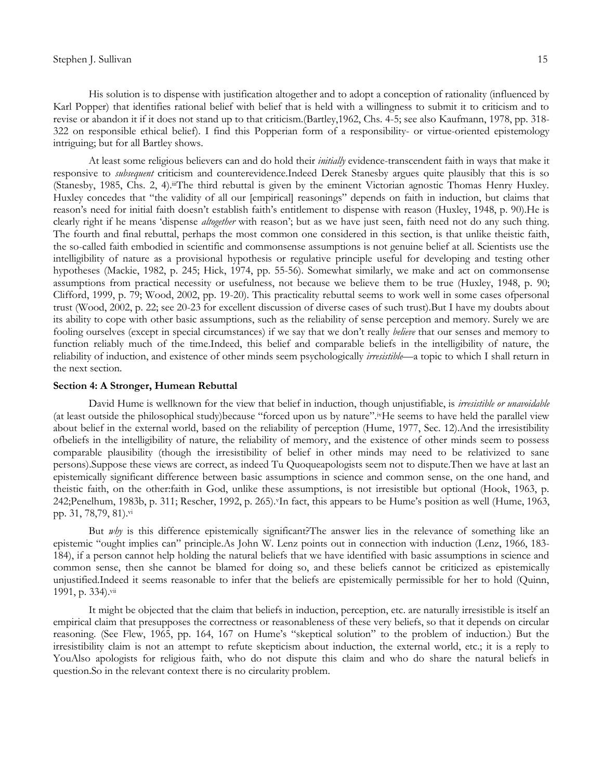## Stephen J. Sullivan 15

His solution is to dispense with justification altogether and to adopt a conception of rationality (influenced by Karl Popper) that identifies rational belief with belief that is held with a willingness to submit it to criticism and to revise or abandon it if it does not stand up to that criticism.(Bartley,1962, Chs. 4-5; see also Kaufmann, 1978, pp. 318- 322 on responsible ethical belief). I find this Popperian form of a responsibility- or virtue-oriented epistemology intriguing; but for all Bartley shows.

At least some religious believers can and do hold their *initially* evidence-transcendent faith in ways that make it responsive to *subsequent* criticism and counterevidence.Indeed Derek Stanesby argues quite plausibly that this is so (Stanesby, 1985, Chs. 2, 4).iiiThe third rebuttal is given by the eminent Victorian agnostic Thomas Henry Huxley. Huxley concedes that "the validity of all our [empirical] reasonings" depends on faith in induction, but claims that reason's need for initial faith doesn't establish faith's entitlement to dispense with reason (Huxley, 1948, p. 90).He is clearly right if he means 'dispense *altogether* with reason'; but as we have just seen, faith need not do any such thing. The fourth and final rebuttal, perhaps the most common one considered in this section, is that unlike theistic faith, the so-called faith embodied in scientific and commonsense assumptions is not genuine belief at all. Scientists use the intelligibility of nature as a provisional hypothesis or regulative principle useful for developing and testing other hypotheses (Mackie, 1982, p. 245; Hick, 1974, pp. 55-56). Somewhat similarly, we make and act on commonsense assumptions from practical necessity or usefulness, not because we believe them to be true (Huxley, 1948, p. 90; Clifford, 1999, p. 79; Wood, 2002, pp. 19-20). This practicality rebuttal seems to work well in some cases ofpersonal trust (Wood, 2002, p. 22; see 20-23 for excellent discussion of diverse cases of such trust).But I have my doubts about its ability to cope with other basic assumptions, such as the reliability of sense perception and memory. Surely we are fooling ourselves (except in special circumstances) if we say that we don't really *believe* that our senses and memory to function reliably much of the time.Indeed, this belief and comparable beliefs in the intelligibility of nature, the reliability of induction, and existence of other minds seem psychologically *irresistible*—a topic to which I shall return in the next section.

## **Section 4: A Stronger, Humean Rebuttal**

David Hume is wellknown for the view that belief in induction, though unjustifiable, is *irresistible or unavoidable* (at least outside the philosophical study)because "forced upon us by nature".ivHe seems to have held the parallel view about belief in the external world, based on the reliability of perception (Hume, 1977, Sec. 12).And the irresistibility ofbeliefs in the intelligibility of nature, the reliability of memory, and the existence of other minds seem to possess comparable plausibility (though the irresistibility of belief in other minds may need to be relativized to sane persons).Suppose these views are correct, as indeed Tu Quoqueapologists seem not to dispute.Then we have at last an epistemically significant difference between basic assumptions in science and common sense, on the one hand, and theistic faith, on the other:faith in God, unlike these assumptions, is not irresistible but optional (Hook, 1963, p. 242;Penelhum, 1983b, p. 311; Rescher, 1992, p. 265). <sup>v</sup>In fact, this appears to be Hume's position as well (Hume, 1963, pp. 31, 78,79, 81).vi

But *why* is this difference epistemically significant?The answer lies in the relevance of something like an epistemic "ought implies can" principle.As John W. Lenz points out in connection with induction (Lenz, 1966, 183-184), if a person cannot help holding the natural beliefs that we have identified with basic assumptions in science and common sense, then she cannot be blamed for doing so, and these beliefs cannot be criticized as epistemically unjustified.Indeed it seems reasonable to infer that the beliefs are epistemically permissible for her to hold (Quinn, 1991, p. 334).vii

It might be objected that the claim that beliefs in induction, perception, etc. are naturally irresistible is itself an empirical claim that presupposes the correctness or reasonableness of these very beliefs, so that it depends on circular reasoning. (See Flew, 1965, pp. 164, 167 on Hume's "skeptical solution" to the problem of induction.) But the irresistibility claim is not an attempt to refute skepticism about induction, the external world, etc.; it is a reply to YouAlso apologists for religious faith, who do not dispute this claim and who do share the natural beliefs in question.So in the relevant context there is no circularity problem.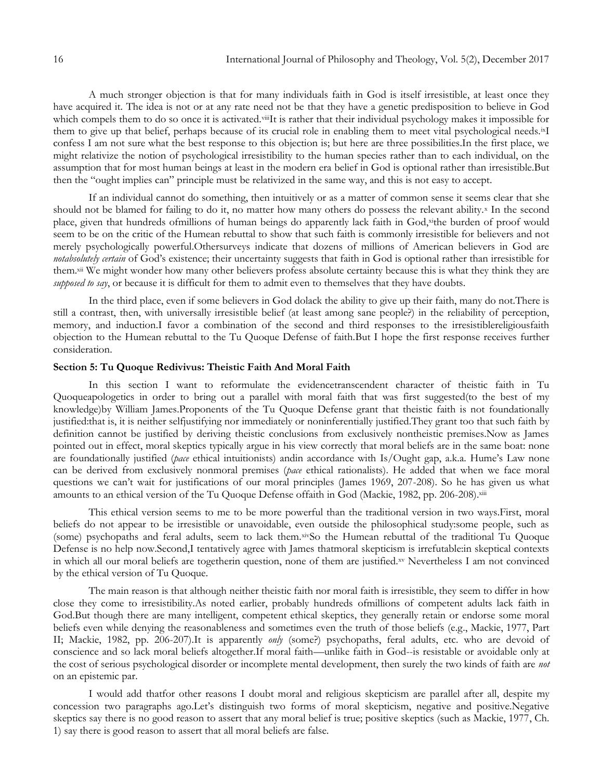A much stronger objection is that for many individuals faith in God is itself irresistible, at least once they have acquired it. The idea is not or at any rate need not be that they have a genetic predisposition to believe in God which compels them to do so once it is activated.viiIt is rather that their individual psychology makes it impossible for them to give up that belief, perhaps because of its crucial role in enabling them to meet vital psychological needs.ixI confess I am not sure what the best response to this objection is; but here are three possibilities.In the first place, we might relativize the notion of psychological irresistibility to the human species rather than to each individual, on the assumption that for most human beings at least in the modern era belief in God is optional rather than irresistible.But then the "ought implies can" principle must be relativized in the same way, and this is not easy to accept.

If an individual cannot do something, then intuitively or as a matter of common sense it seems clear that she should not be blamed for failing to do it, no matter how many others do possess the relevant ability.<sup>x</sup> In the second place, given that hundreds ofmillions of human beings do apparently lack faith in God,xithe burden of proof would seem to be on the critic of the Humean rebuttal to show that such faith is commonly irresistible for believers and not merely psychologically powerful.Othersurveys indicate that dozens of millions of American believers in God are *notabsolutely certain* of God's existence; their uncertainty suggests that faith in God is optional rather than irresistible for them.<sup>xii</sup> We might wonder how many other believers profess absolute certainty because this is what they think they are *supposed to say*, or because it is difficult for them to admit even to themselves that they have doubts.

In the third place, even if some believers in God dolack the ability to give up their faith, many do not.There is still a contrast, then, with universally irresistible belief (at least among sane people?) in the reliability of perception, memory, and induction.I favor a combination of the second and third responses to the irresistiblereligiousfaith objection to the Humean rebuttal to the Tu Quoque Defense of faith.But I hope the first response receives further consideration.

## **Section 5: Tu Quoque Redivivus: Theistic Faith And Moral Faith**

In this section I want to reformulate the evidencetranscendent character of theistic faith in Tu Quoqueapologetics in order to bring out a parallel with moral faith that was first suggested(to the best of my knowledge)by William James.Proponents of the Tu Quoque Defense grant that theistic faith is not foundationally justified:that is, it is neither selfjustifying nor immediately or noninferentially justified.They grant too that such faith by definition cannot be justified by deriving theistic conclusions from exclusively nontheistic premises.Now as James pointed out in effect, moral skeptics typically argue in his view correctly that moral beliefs are in the same boat: none are foundationally justified (*pace* ethical intuitionists) andin accordance with Is/Ought gap, a.k.a. Hume's Law none can be derived from exclusively nonmoral premises (*pace* ethical rationalists). He added that when we face moral questions we can't wait for justifications of our moral principles (James 1969, 207-208). So he has given us what amounts to an ethical version of the Tu Quoque Defense offaith in God (Mackie, 1982, pp. 206-208).xiii

This ethical version seems to me to be more powerful than the traditional version in two ways.First, moral beliefs do not appear to be irresistible or unavoidable, even outside the philosophical study:some people, such as (some) psychopaths and feral adults, seem to lack them.xivSo the Humean rebuttal of the traditional Tu Quoque Defense is no help now.Second,I tentatively agree with James thatmoral skepticism is irrefutable:in skeptical contexts in which all our moral beliefs are togetherin question, none of them are justified.xv Nevertheless I am not convinced by the ethical version of Tu Quoque*.*

The main reason is that although neither theistic faith nor moral faith is irresistible, they seem to differ in how close they come to irresistibility.As noted earlier, probably hundreds ofmillions of competent adults lack faith in God.But though there are many intelligent, competent ethical skeptics, they generally retain or endorse some moral beliefs even while denying the reasonableness and sometimes even the truth of those beliefs (e.g., Mackie, 1977, Part II; Mackie, 1982, pp. 206-207).It is apparently *only* (some?) psychopaths, feral adults, etc. who are devoid of conscience and so lack moral beliefs altogether.If moral faith—unlike faith in God--is resistable or avoidable only at the cost of serious psychological disorder or incomplete mental development, then surely the two kinds of faith are *not*  on an epistemic par.

I would add thatfor other reasons I doubt moral and religious skepticism are parallel after all, despite my concession two paragraphs ago.Let's distinguish two forms of moral skepticism, negative and positive.Negative skeptics say there is no good reason to assert that any moral belief is true; positive skeptics (such as Mackie, 1977, Ch. 1) say there is good reason to assert that all moral beliefs are false.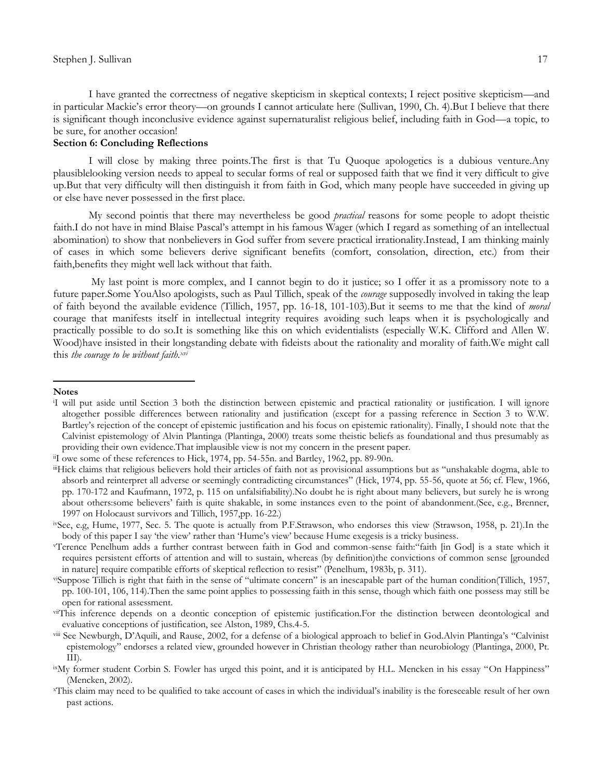I have granted the correctness of negative skepticism in skeptical contexts; I reject positive skepticism—and in particular Mackie's error theory—on grounds I cannot articulate here (Sullivan, 1990, Ch. 4).But I believe that there is significant though inconclusive evidence against supernaturalist religious belief, including faith in God—a topic, to be sure, for another occasion!

## **Section 6: Concluding Reflections**

I will close by making three points.The first is that Tu Quoque apologetics is a dubious venture.Any plausiblelooking version needs to appeal to secular forms of real or supposed faith that we find it very difficult to give up.But that very difficulty will then distinguish it from faith in God, which many people have succeeded in giving up or else have never possessed in the first place.

My second pointis that there may nevertheless be good *practical* reasons for some people to adopt theistic faith.I do not have in mind Blaise Pascal's attempt in his famous Wager (which I regard as something of an intellectual abomination) to show that nonbelievers in God suffer from severe practical irrationality.Instead, I am thinking mainly of cases in which some believers derive significant benefits (comfort, consolation, direction, etc.) from their faith,benefits they might well lack without that faith.

My last point is more complex, and I cannot begin to do it justice; so I offer it as a promissory note to a future paper.Some YouAlso apologists, such as Paul Tillich, speak of the *courage* supposedly involved in taking the leap of faith beyond the available evidence (Tillich, 1957, pp. 16-18, 101-103).But it seems to me that the kind of *moral* courage that manifests itself in intellectual integrity requires avoiding such leaps when it is psychologically and practically possible to do so.It is something like this on which evidentialists (especially W.K. Clifford and Allen W. Wood)have insisted in their longstanding debate with fideists about the rationality and morality of faith.We might call this *the courage to be without faith.xvi*

#### **Notes**

 $\overline{\phantom{a}}$ 

<sup>i</sup>I will put aside until Section 3 both the distinction between epistemic and practical rationality or justification. I will ignore altogether possible differences between rationality and justification (except for a passing reference in Section 3 to W.W. Bartley's rejection of the concept of epistemic justification and his focus on epistemic rationality). Finally, I should note that the Calvinist epistemology of Alvin Plantinga (Plantinga, 2000) treats some theistic beliefs as foundational and thus presumably as providing their own evidence.That implausible view is not my concern in the present paper.

iiI owe some of these references to Hick, 1974, pp. 54-55n. and Bartley, 1962, pp. 89-90n.

iiHick claims that religious believers hold their articles of faith not as provisional assumptions but as "unshakable dogma, able to absorb and reinterpret all adverse or seemingly contradicting circumstances" (Hick, 1974, pp. 55-56, quote at 56; cf. Flew, 1966, pp. 170-172 and Kaufmann, 1972, p. 115 on unfalsifiability).No doubt he is right about many believers, but surely he is wrong about others:some believers' faith is quite shakable, in some instances even to the point of abandonment.(See, e.g., Brenner, 1997 on Holocaust survivors and Tillich, 1957,pp. 16-22.)

ivSee, e.g, Hume, 1977, Sec. 5. The quote is actually from P.F.Strawson, who endorses this view (Strawson, 1958, p. 21).In the body of this paper I say 'the view' rather than 'Hume's view' because Hume exegesis is a tricky business.

vTerence Penelhum adds a further contrast between faith in God and common-sense faith:"faith [in God] is a state which it requires persistent efforts of attention and will to sustain, whereas (by definition)the convictions of common sense [grounded in nature] require compatible efforts of skeptical reflection to resist" (Penelhum, 1983b, p. 311).

viSuppose Tillich is right that faith in the sense of "ultimate concern" is an inescapable part of the human condition(Tillich, 1957, pp. 100-101, 106, 114).Then the same point applies to possessing faith in this sense, though which faith one possess may still be open for rational assessment.

viiThis inference depends on a deontic conception of epistemic justification.For the distinction between deontological and evaluative conceptions of justification, see Alston, 1989, Chs.4-5.

viii See Newburgh, D'Aquili, and Rause, 2002, for a defense of a biological approach to belief in God.Alvin Plantinga's "Calvinist epistemology" endorses a related view, grounded however in Christian theology rather than neurobiology (Plantinga, 2000, Pt. III).

ixMy former student Corbin S. Fowler has urged this point, and it is anticipated by H.L. Mencken in his essay "On Happiness" (Mencken, 2002).

<sup>x</sup>This claim may need to be qualified to take account of cases in which the individual's inability is the foreseeable result of her own past actions.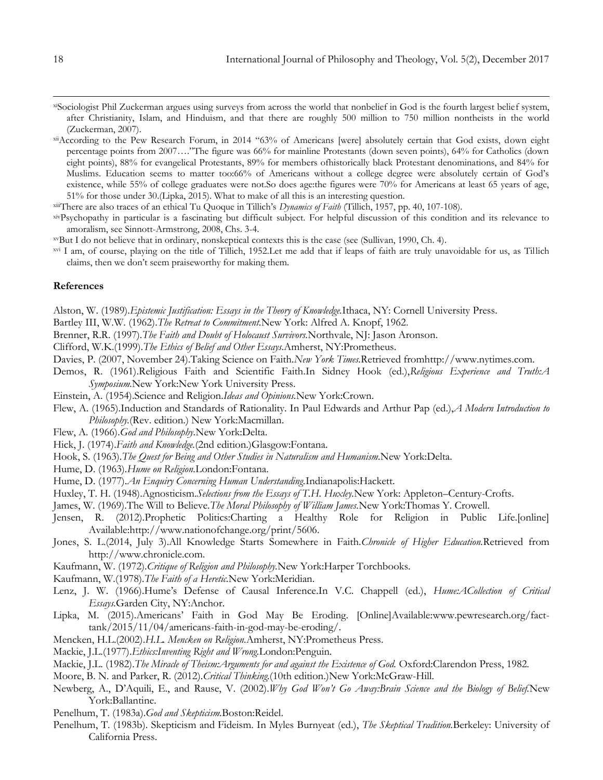- xiSociologist Phil Zuckerman argues using surveys from across the world that nonbelief in God is the fourth largest belief system, after Christianity, Islam, and Hinduism, and that there are roughly 500 million to 750 million nontheists in the world (Zuckerman, 2007).
- xiiAccording to the Pew Research Forum, in 2014 "63% of Americans [were] absolutely certain that God exists, down eight percentage points from 2007...."The figure was 66% for mainline Protestants (down seven points), 64% for Catholics (down eight points), 88% for evangelical Protestants, 89% for members ofhistorically black Protestant denominations, and 84% for Muslims. Education seems to matter too:66% of Americans without a college degree were absolutely certain of God's existence, while 55% of college graduates were not.So does age:the figures were 70% for Americans at least 65 years of age, 51% for those under 30.(Lipka, 2015). What to make of all this is an interesting question.

xiiiThere are also traces of an ethical Tu Quoque in Tillich's *Dynamics of Faith* (Tillich, 1957, pp. 40, 107-108).

xivPsychopathy in particular is a fascinating but difficult subject. For helpful discussion of this condition and its relevance to amoralism, see Sinnott-Armstrong, 2008, Chs. 3-4.

xvBut I do not believe that in ordinary, nonskeptical contexts this is the case (see (Sullivan, 1990, Ch. 4).

xvi I am, of course, playing on the title of Tillich, 1952.Let me add that if leaps of faith are truly unavoidable for us, as Tillich claims, then we don't seem praiseworthy for making them.

## **References**

Alston, W. (1989).*Epistemic Justification: Essays in the Theory of Knowledge.*Ithaca, NY: Cornell University Press.

Bartley III, W.W. (1962).*The Retreat to Commitment.*New York: Alfred A. Knopf, 1962.

Brenner, R.R. (1997).*The Faith and Doubt of Holocaust Survivors.*Northvale, NJ: Jason Aronson.

Clifford, W.K.(1999).*The Ethics of Belief and Other Essays.*Amherst, NY:Prometheus.

Davies, P. (2007, November 24).Taking Science on Faith.*New York Times.*Retrieved fromhttp://www.nytimes.com.

Demos, R. (1961).Religious Faith and Scientific Faith.In Sidney Hook (ed.),*Religious Experience and Truth:A Symposium.*New York:New York University Press.

Einstein, A. (1954).Science and Religion.*Ideas and Opinions.*New York:Crown.

Flew, A. (1965).Induction and Standards of Rationality. In Paul Edwards and Arthur Pap (ed.),*A Modern Introduction to Philosophy.*(Rev. edition.) New York:Macmillan.

Flew, A. (1966).*God and Philosophy.*New York:Delta.

Hick, J. (1974).*Faith and Knowledge.*(2nd edition.)Glasgow:Fontana.

Hook, S. (1963).*The Quest for Being and Other Studies in Naturalism and Humanism.*New York:Delta.

Hume, D. (1963).*Hume on Religion.*London:Fontana.

Hume, D. (1977).*An Enquiry Concerning Human Understanding.*Indianapolis:Hackett.

Huxley, T. H. (1948).Agnosticism.*Selections from the Essays of T.H. Huxley.*New York: Appleton–Century-Crofts.

James, W. (1969).The Will to Believe.*The Moral Philosophy of William James.*New York:Thomas Y. Crowell.

Jensen, R. (2012).Prophetic Politics:Charting a Healthy Role for Religion in Public Life.[online] Available:http://www.nationofchange.org/print/5606.

Jones, S. L.(2014, July 3).All Knowledge Starts Somewhere in Faith.*Chronicle of Higher Education.*Retrieved from http://www.chronicle.com.

Kaufmann, W. (1972).*Critique of Religion and Philosophy.*New York:Harper Torchbooks.

Kaufmann, W.(1978).*The Faith of a Heretic.*New York:Meridian.

Lenz, J. W. (1966).Hume's Defense of Causal Inference.In V.C. Chappell (ed.), *Hume:ACollection of Critical Essays.*Garden City, NY:Anchor.

Lipka, M. (2015).Americans' Faith in God May Be Eroding. [Online]Available:[www.pewresearch.org/fact](http://www.pewresearch.org/fact-tank/)[tank/2](http://www.pewresearch.org/fact-tank/)015/11/04/americans-faith-in-god-may-be-eroding/.

Mencken, H.L.(2002).*H.L. Mencken on Religion.*Amherst, NY:Prometheus Press.

Mackie, J.L.(1977).*Ethics:Inventing Right and Wrong.*London:Penguin.

Mackie, J.L. (1982).*The Miracle of Theism:Arguments for and against the Existence of God.* Oxford:Clarendon Press, 1982.

Moore, B. N. and Parker, R. (2012).*Critical Thinking.*(10th edition.)New York:McGraw-Hill.

Newberg, A., D'Aquili, E., and Rause, V. (2002).*Why God Won't Go Away:Brain Science and the Biology of Belief.*New York:Ballantine.

Penelhum, T. (1983a).*God and Skepticism.*Boston:Reidel.

Penelhum, T. (1983b). Skepticism and Fideism. In Myles Burnyeat (ed.), *The Skeptical Tradition.*Berkeley: University of California Press.

 $\overline{\phantom{a}}$